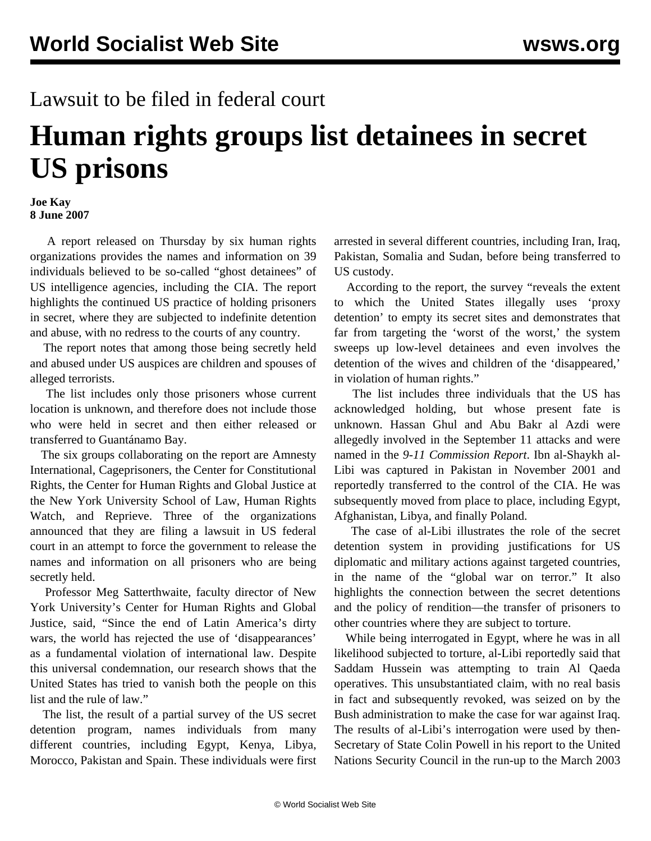## Lawsuit to be filed in federal court

## **Human rights groups list detainees in secret US prisons**

## **Joe Kay 8 June 2007**

 A report released on Thursday by six human rights organizations provides the names and information on 39 individuals believed to be so-called "ghost detainees" of US intelligence agencies, including the CIA. The report highlights the continued US practice of holding prisoners in secret, where they are subjected to indefinite detention and abuse, with no redress to the courts of any country.

 The report notes that among those being secretly held and abused under US auspices are children and spouses of alleged terrorists.

 The list includes only those prisoners whose current location is unknown, and therefore does not include those who were held in secret and then either released or transferred to Guantánamo Bay.

 The six groups collaborating on the report are Amnesty International, Cageprisoners, the Center for Constitutional Rights, the Center for Human Rights and Global Justice at the New York University School of Law, Human Rights Watch, and Reprieve. Three of the organizations announced that they are filing a lawsuit in US federal court in an attempt to force the government to release the names and information on all prisoners who are being secretly held.

 Professor Meg Satterthwaite, faculty director of New York University's Center for Human Rights and Global Justice, said, "Since the end of Latin America's dirty wars, the world has rejected the use of 'disappearances' as a fundamental violation of international law. Despite this universal condemnation, our research shows that the United States has tried to vanish both the people on this list and the rule of law."

 The list, the result of a partial survey of the US secret detention program, names individuals from many different countries, including Egypt, Kenya, Libya, Morocco, Pakistan and Spain. These individuals were first

arrested in several different countries, including Iran, Iraq, Pakistan, Somalia and Sudan, before being transferred to US custody.

 According to the report, the survey "reveals the extent to which the United States illegally uses 'proxy detention' to empty its secret sites and demonstrates that far from targeting the 'worst of the worst,' the system sweeps up low-level detainees and even involves the detention of the wives and children of the 'disappeared,' in violation of human rights."

 The list includes three individuals that the US has acknowledged holding, but whose present fate is unknown. Hassan Ghul and Abu Bakr al Azdi were allegedly involved in the September 11 attacks and were named in the *9-11 Commission Report*. Ibn al-Shaykh al-Libi was captured in Pakistan in November 2001 and reportedly transferred to the control of the CIA. He was subsequently moved from place to place, including Egypt, Afghanistan, Libya, and finally Poland.

 The case of al-Libi illustrates the role of the secret detention system in providing justifications for US diplomatic and military actions against targeted countries, in the name of the "global war on terror." It also highlights the connection between the secret detentions and the policy of rendition—the transfer of prisoners to other countries where they are subject to torture.

 While being interrogated in Egypt, where he was in all likelihood subjected to torture, al-Libi reportedly said that Saddam Hussein was attempting to train Al Qaeda operatives. This unsubstantiated claim, with no real basis in fact and subsequently revoked, was seized on by the Bush administration to make the case for war against Iraq. The results of al-Libi's interrogation were used by then-Secretary of State Colin Powell in his report to the United Nations Security Council in the run-up to the March 2003